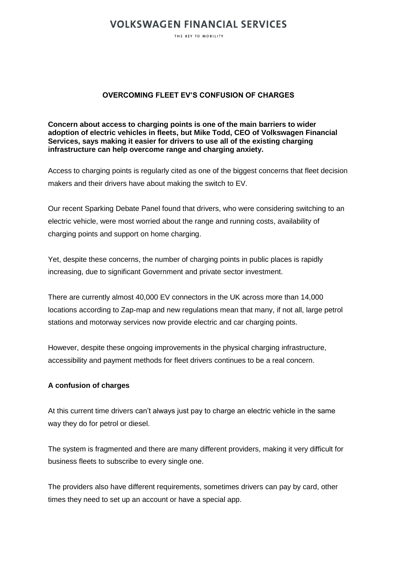## **VOLKSWAGEN FINANCIAL SERVICES**

THE KEY TO MORILITY

## **OVERCOMING FLEET EV'S CONFUSION OF CHARGES**

**Concern about access to charging points is one of the main barriers to wider adoption of electric vehicles in fleets, but Mike Todd, CEO of Volkswagen Financial Services, says making it easier for drivers to use all of the existing charging infrastructure can help overcome range and charging anxiety.**

Access to charging points is regularly cited as one of the biggest concerns that fleet decision makers and their drivers have about making the switch to EV.

Our recent Sparking Debate Panel found that drivers, who were considering switching to an electric vehicle, were most worried about the range and running costs, availability of charging points and support on home charging.

Yet, despite these concerns, the number of charging points in public places is rapidly increasing, due to significant Government and private sector investment.

There are currently almost 40,000 EV connectors in the UK across more than 14,000 locations according to Zap-map and new regulations mean that many, if not all, large petrol stations and motorway services now provide electric and car charging points.

However, despite these ongoing improvements in the physical charging infrastructure, accessibility and payment methods for fleet drivers continues to be a real concern.

### **A confusion of charges**

At this current time drivers can't always just pay to charge an electric vehicle in the same way they do for petrol or diesel.

The system is fragmented and there are many different providers, making it very difficult for business fleets to subscribe to every single one.

The providers also have different requirements, sometimes drivers can pay by card, other times they need to set up an account or have a special app.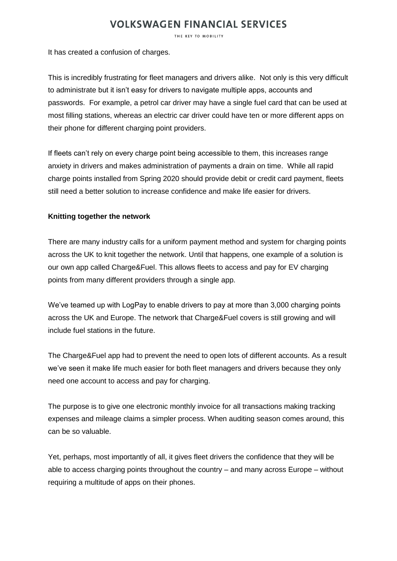## **VOLKSWAGEN FINANCIAL SERVICES**

THE KEY TO MORILITY

It has created a confusion of charges.

This is incredibly frustrating for fleet managers and drivers alike. Not only is this very difficult to administrate but it isn't easy for drivers to navigate multiple apps, accounts and passwords. For example, a petrol car driver may have a single fuel card that can be used at most filling stations, whereas an electric car driver could have ten or more different apps on their phone for different charging point providers.

If fleets can't rely on every charge point being accessible to them, this increases range anxiety in drivers and makes administration of payments a drain on time. While all rapid charge points installed from Spring 2020 should provide debit or credit card payment, fleets still need a better solution to increase confidence and make life easier for drivers.

## **Knitting together the network**

There are many industry calls for a uniform payment method and system for charging points across the UK to knit together the network. Until that happens, one example of a solution is our own app called Charge&Fuel. This allows fleets to access and pay for EV charging points from many different providers through a single app.

We've teamed up with LogPay to enable drivers to pay at more than 3,000 charging points across the UK and Europe. The network that Charge&Fuel covers is still growing and will include fuel stations in the future.

The Charge&Fuel app had to prevent the need to open lots of different accounts. As a result we've seen it make life much easier for both fleet managers and drivers because they only need one account to access and pay for charging.

The purpose is to give one electronic monthly invoice for all transactions making tracking expenses and mileage claims a simpler process. When auditing season comes around, this can be so valuable.

Yet, perhaps, most importantly of all, it gives fleet drivers the confidence that they will be able to access charging points throughout the country – and many across Europe – without requiring a multitude of apps on their phones.